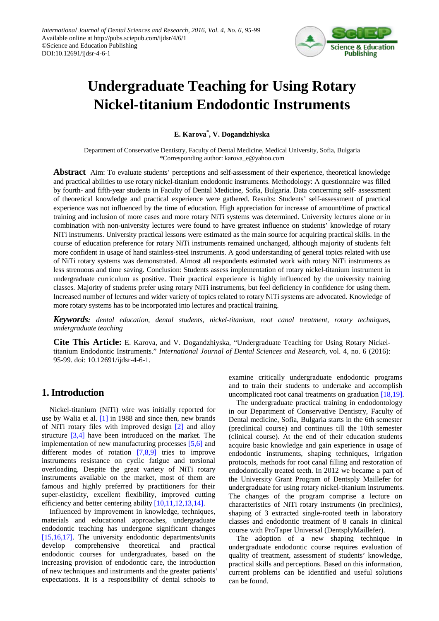

# **Undergraduate Teaching for Using Rotary Nickel-titanium Endodontic Instruments**

**E. Karova\* , V. Dogandzhiyska**

Department of Conservative Dentistry, Faculty of Dental Medicine, Medical University, Sofia, Bulgaria \*Corresponding author: karova\_e@yahoo.com

**Abstract** Aim: To evaluate students' perceptions and self-assessment of their experience, theoretical knowledge and practical abilities to use rotary nickel-titanium endodontic instruments. Methodology: A questionnaire was filled by fourth- and fifth-year students in Faculty of Dental Medicine, Sofia, Bulgaria. Data concerning self- assessment of theoretical knowledge and practical experience were gathered. Results: Students' self-assessment of practical experience was not influenced by the time of education. High appreciation for increase of amount/time of practical training and inclusion of more cases and more rotary NiTi systems was determined. University lectures alone or in combination with non-university lectures were found to have greatest influence on students' knowledge of rotary NiTi instruments. University practical lessons were estimated as the main source for acquiring practical skills. In the course of education preference for rotary NiTi instruments remained unchanged, although majority of students felt more confident in usage of hand stainless-steel instruments. A good understanding of general topics related with use of NiTi rotary systems was demonstrated. Almost all respondents estimated work with rotary NiTi instruments as less strenuous and time saving. Conclusion: Students assess implementation of rotary nickel-titanium instrument in undergraduate curriculum as positive. Their practical experience is highly influenced by the university training classes. Majority of students prefer using rotary NiTi instruments, but feel deficiency in confidence for using them. Increased number of lectures and wider variety of topics related to rotary NiTi systems are advocated. Knowledge of more rotary systems has to be incorporated into lectures and practical training.

*Keywords: dental education, dental students, nickel-titanium, root canal treatment, rotary techniques, undergraduate teaching* 

**Cite This Article:** E. Karova, and V. Dogandzhiyska, "Undergraduate Teaching for Using Rotary Nickeltitanium Endodontic Instruments." *International Journal of Dental Sciences and Research*, vol. 4, no. 6 (2016): 95-99. doi: 10.12691/ijdsr-4-6-1.

# **1. Introduction**

Nickel-titanium (NiTi) wire was initially reported for use by Walia et al. [\[1\]](#page-4-0) in 1988 and since then, new brands of NiTi rotary files with improved design [\[2\]](#page-4-1) and alloy structure [\[3,4\]](#page-4-2) have been introduced on the market. The implementation of new manufacturing processes [\[5,6\]](#page-4-3) and different modes of rotation [\[7,8,9\]](#page-4-4) tries to improve instruments resistance on cyclic fatigue and torsional overloading. Despite the great variety of NiTi rotary instruments available on the market, most of them are famous and highly preferred by practitioners for their super-elasticity, excellent flexibility, improved cutting efficiency and better centering ability [\[10,11,12,13,14\].](#page-4-5)

Influenced by improvement in knowledge, techniques, materials and educational approaches, undergraduate endodontic teaching has undergone significant changes [\[15,16,17\].](#page-4-6) The university endodontic departments/units develop comprehensive theoretical and practical endodontic courses for undergraduates, based on the increasing provision of endodontic care, the introduction of new techniques and instruments and the greater patients' expectations. It is a responsibility of dental schools to

examine critically undergraduate endodontic programs and to train their students to undertake and accomplish uncomplicated root canal treatments on graduation [\[18,19\].](#page-4-7)

The undergraduate practical training in endodontology in our Department of Conservative Dentistry, Faculty of Dental medicine, Sofia, Bulgaria starts in the 6th semester (preclinical course) and continues till the 10th semester (clinical course). At the end of their education students acquire basic knowledge and gain experience in usage of endodontic instruments, shaping techniques, irrigation protocols, methods for root canal filling and restoration of endodontically treated teeth. In 2012 we became a part of the University Grant Program of Dentsply Maillefer for undergraduate for using rotary nickel-titanium instruments. The changes of the program comprise a lecture on characteristics of NiTi rotary instruments (in preclinics), shaping of 3 extracted single-rooted teeth in laboratory classes and endodontic treatment of 8 canals in clinical course with ProTaper Universal (DentsplyMaillefer).

The adoption of a new shaping technique in undergraduate endodontic course requires evaluation of quality of treatment, assessment of students' knowledge, practical skills and perceptions. Based on this information, current problems can be identified and useful solutions can be found.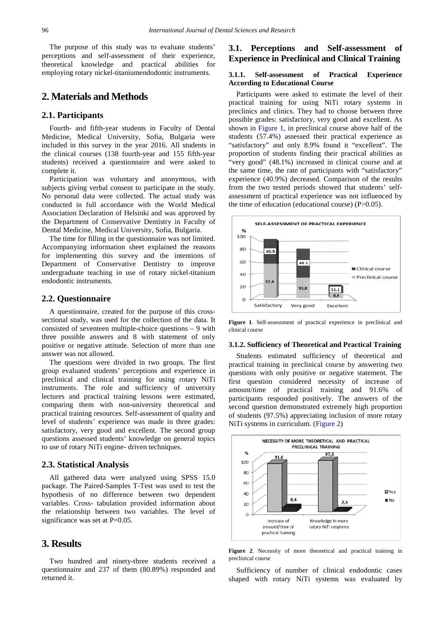The purpose of this study was to evaluate students' perceptions and self-assessment of their experience, theoretical knowledge and practical abilities for employing rotary nickel-titaniumendodontic instruments.

# **2. Materials and Methods**

## **2.1. Participants**

Fourth- and fifth-year students in Faculty of Dental Medicine, Medical University, Sofia, Bulgaria were included in this survey in the year 2016. All students in the clinical courses (138 fourth-year and 155 fifth-year students) received a questionnaire and were asked to complete it.

Participation was voluntary and anonymous, with subjects giving verbal consent to participate in the study. No personal data were collected. The actual study was conducted in full accordance with the World Medical Association Declaration of Helsinki and was approved by the Department of Conservative Dentistry in Faculty of Dental Medicine, Medical University, Sofia, Bulgaria.

The time for filling in the questionnaire was not limited. Accompanying information sheet explained the reasons for implementing this survey and the intentions of Department of Conservative Dentistry to improve undergraduate teaching in use of rotary nickel-titanium endodontic instruments.

## **2.2. Questionnaire**

A questionnaire, created for the purpose of this crosssectional study, was used for the collection of the data. It consisted of seventeen multiple-choice questions – 9 with three possible answers and 8 with statement of only positive or negative attitude. Selection of more than one answer was not allowed.

The questions were divided in two groups. The first group evaluated students' perceptions and experience in preclinical and clinical training for using rotary NiTi instruments. The role and sufficiency of university lectures and practical training lessons were estimated, comparing them with non-university theoretical and practical training resources. Self-assessment of quality and level of students' experience was made in three grades: satisfactory, very good and excellent. The second group questions assessed students' knowledge on general topics to use of rotary NiTi engine- driven techniques.

## **2.3. Statistical Analysis**

All gathered data were analyzed using SPSS 15.0 package. The Paired-Samples T-Test was used to test the hypothesis of no difference between two dependent variables. Cross- tabulation provided information about the relationship between two variables. The level of significance was set at P=0.05.

# **3. Results**

Two hundred and ninety-three students received a questionnaire and 237 of them (80.89%) responded and returned it.

# **3.1. Perceptions and Self-assessment of Experience in Preclinical and Clinical Training**

## **3.1.1. Self-assessment of Practical Experience According to Educational Course**

Participants were asked to estimate the level of their practical training for using NiTi rotary systems in preclinics and clinics. They had to choose between three possible grades: satisfactory, very good and excellent. As shown in [Figure 1,](#page-1-0) in preclinical course above half of the students (57.4%) assessed their practical experience as "satisfactory" and only 8.9% found it "excellent". The proportion of students finding their practical abilities as "very good" (48.1%) increased in clinical course and at the same time, the rate of participants with "satisfactory" experience (40.9%) decreased. Comparison of the results from the two tested periods showed that students' selfassessment of practical experience was not influenced by the time of education (educational course) (P>0.05).

<span id="page-1-0"></span>

**Figure 1**. Self-assessment of practical experience in preclinical and clinical course

#### **3.1.2. Sufficiency of Theoretical and Practical Training**

Students estimated sufficiency of theoretical and practical training in preclinical course by answering two questions with only positive or negative statement. The first question considered necessity of increase of amount/time of practical training and 91.6% of participants responded positively. The answers of the second question demonstrated extremely high proportion of students (97.5%) appreciating inclusion of more rotary NiTi systems in curriculum. [\(Figure 2\)](#page-1-1)

<span id="page-1-1"></span>

**Figure 2**. Necessity of more theoretical and practical training in preclinical course

Sufficiency of number of clinical endodontic cases shaped with rotary NiTi systems was evaluated by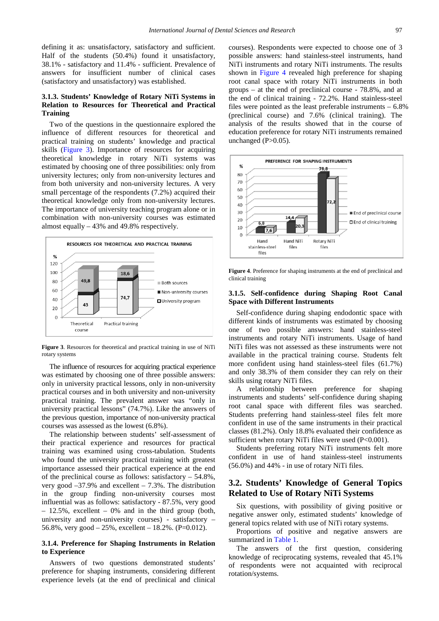defining it as: unsatisfactory, satisfactory and sufficient. Half of the students (50.4%) found it unsatisfactory, 38.1% - satisfactory and 11.4% - sufficient. Prevalence of answers for insufficient number of clinical cases (satisfactory and unsatisfactory) was established.

## **3.1.3. Students' Knowledge of Rotary NiTi Systems in Relation to Resources for Theoretical and Practical Training**

Two of the questions in the questionnaire explored the influence of different resources for theoretical and practical training on students' knowledge and practical skills [\(Figure 3\)](#page-2-0). Importance of resources for acquiring theoretical knowledge in rotary NiTi systems was estimated by choosing one of three possibilities: only from university lectures; only from non-university lectures and from both university and non-university lectures. A very small percentage of the respondents (7.2%) acquired their theoretical knowledge only from non-university lectures. The importance of university teaching program alone or in combination with non-university courses was estimated almost equally – 43% and 49.8% respectively.

<span id="page-2-0"></span>

**Figure 3**. Resources for theoretical and practical training in use of NiTi rotary systems

The influence of resources for acquiring practical experience was estimated by choosing one of three possible answers: only in university practical lessons, only in non-university practical courses and in both university and non-university practical training. The prevalent answer was "only in university practical lessons" (74.7%). Like the answers of the previous question, importance of non-university practical courses was assessed as the lowest (6.8%).

The relationship between students' self-assessment of their practical experience and resources for practical training was examined using cross-tabulation. Students who found the university practical training with greatest importance assessed their practical experience at the end of the preclinical course as follows: satisfactory – 54.8%, very good  $-37.9\%$  and excellent  $-7.3\%$ . The distribution in the group finding non-university courses most influential was as follows: satisfactory - 87.5%, very good  $-12.5\%$ , excellent  $-0\%$  and in the third group (both, university and non-university courses) - satisfactory – 56.8%, very good  $-25%$ , excellent  $-18.2%$ . (P=0.012).

## **3.1.4. Preference for Shaping Instruments in Relation to Experience**

Answers of two questions demonstrated students' preference for shaping instruments, considering different experience levels (at the end of preclinical and clinical

courses). Respondents were expected to choose one of 3 possible answers: hand stainless-steel instruments, hand NiTi instruments and rotary NiTi instruments. The results shown in [Figure 4](#page-2-1) revealed high preference for shaping root canal space with rotary NiTi instruments in both groups – at the end of preclinical course - 78.8%, and at the end of clinical training - 72.2%. Hand stainless-steel files were pointed as the least preferable instruments – 6.8% (preclinical course) and 7.6% (clinical training). The analysis of the results showed that in the course of education preference for rotary NiTi instruments remained unchanged  $(P>0.05)$ .

<span id="page-2-1"></span>

**Figure 4**. Preference for shaping instruments at the end of preclinical and clinical training

### **3.1.5. Self-confidence during Shaping Root Canal Space with Different Instruments**

Self-confidence during shaping endodontic space with different kinds of instruments was estimated by choosing one of two possible answers: hand stainless-steel instruments and rotary NiTi instruments. Usage of hand NiTi files was not assessed as these instruments were not available in the practical training course. Students felt more confident using hand stainless-steel files (61.7%) and only 38.3% of them consider they can rely on their skills using rotary NiTi files.

A relationship between preference for shaping instruments and students' self-confidence during shaping root canal space with different files was searched. Students preferring hand stainless-steel files felt more confident in use of the same instruments in their practical classes (81.2%). Only 18.8% evaluated their confidence as sufficient when rotary NiTi files were used (P<0.001).

Students preferring rotary NiTi instruments felt more confident in use of hand stainless-steel instruments (56.0%) and 44% - in use of rotary NiTi files.

# **3.2. Students' Knowledge of General Topics Related to Use of Rotary NiTi Systems**

Six questions, with possibility of giving positive or negative answer only, estimated students' knowledge of general topics related with use of NiTi rotary systems.

Proportions of positive and negative answers are summarized in [Table 1.](#page-3-0)

The answers of the first question, considering knowledge of reciprocating systems, revealed that 45.1% of respondents were not acquainted with reciprocal rotation/systems.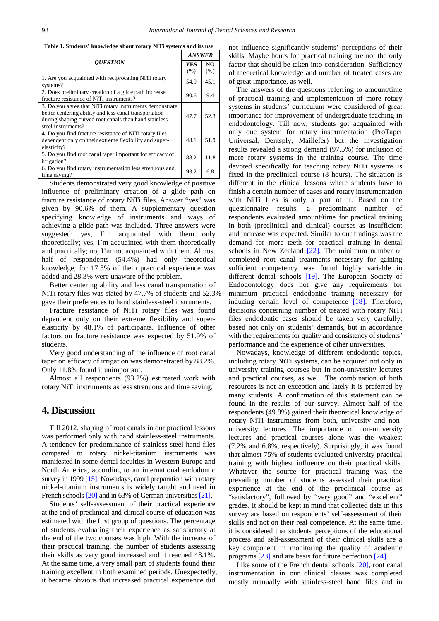**Table 1. Students' knowledge about rotary NiTi systems and its use** 

<span id="page-3-0"></span>

| <b>OUESTION</b>                                                                                                                                                                                    | <b>ANSWER</b> |                         |
|----------------------------------------------------------------------------------------------------------------------------------------------------------------------------------------------------|---------------|-------------------------|
|                                                                                                                                                                                                    | YES<br>(% )   | NO <sub>1</sub><br>(% ) |
| 1. Are you acquainted with reciprocating NiTi rotary<br>systems?                                                                                                                                   | 54.9          | 45.1                    |
| 2. Does preliminary creation of a glide path increase<br>fracture resistance of NiTi instruments?                                                                                                  | 90.6          | 9.4                     |
| 3. Do you agree that NiTi rotary instruments demonstrate<br>better centering ability and less canal transportation<br>during shaping curved root canals than hand stainless-<br>steel instruments? | 47.7          | 52.3                    |
| 4. Do you find fracture resistance of NiTi rotary files<br>dependent only on their extreme flexibility and super-<br>elasticity?                                                                   | 48.1          | 51.9                    |
| 5. Do you find root canal taper important for efficacy of<br>irrigation?                                                                                                                           | 88.2          | 11.8                    |
| 6. Do you find rotary instrumentation less strenuous and<br>time saving?                                                                                                                           | 93.2          | 6.8                     |

Students demonstrated very good knowledge of positive influence of preliminary creation of a glide path on fracture resistance of rotary NiTi files. Answer "yes" was given by 90.6% of them. A supplementary question specifying knowledge of instruments and ways of achieving a glide path was included. Three answers were suggested: yes, I'm acquainted with them only theoretically; yes, I'm acquainted with them theoretically and practically; no, I'm not acquainted with them. Almost half of respondents (54.4%) had only theoretical knowledge, for 17.3% of them practical experience was added and 28.3% were unaware of the problem.

Better centering ability and less canal transportation of NiTi rotary files was stated by 47.7% of students and 52.3% gave their preferences to hand stainless-steel instruments.

Fracture resistance of NiTi rotary files was found dependent only on their extreme flexibility and superelasticity by 48.1% of participants. Influence of other factors on fracture resistance was expected by 51.9% of students.

Very good understanding of the influence of root canal taper on efficacy of irrigation was demonstrated by 88.2%. Only 11.8% found it unimportant.

Almost all respondents (93.2%) estimated work with rotary NiTi instruments as less strenuous and time saving.

## **4. Discussion**

Till 2012, shaping of root canals in our practical lessons was performed only with hand stainless-steel instruments. A tendency for predominance of stainless-steel hand files compared to rotary nickel-titanium instruments was manifested in some dental faculties in Western Europe and North America, according to an international endodontic survey in 1999 [\[15\].](#page-4-6) Nowadays, canal preparation with rotary nickel-titanium instruments is widely taught and used in French school[s \[20\]](#page-4-8) and in 63% of German universities [21].

Students' self-assessment of their practical experience at the end of preclinical and clinical course of education was estimated with the first group of questions. The percentage of students evaluating their experience as satisfactory at the end of the two courses was high. With the increase of their practical training, the number of students assessing their skills as very good increased and it reached 48.1%. At the same time, a very small part of students found their training excellent in both examined periods. Unexpectedly, it became obvious that increased practical experience did not influence significantly students' perceptions of their skills. Maybe hours for practical training are not the only factor that should be taken into consideration. Sufficiency of theoretical knowledge and number of treated cases are of great importance, as well.

The answers of the questions referring to amount/time of practical training and implementation of more rotary systems in students' curriculum were considered of great importance for improvement of undergraduate teaching in endodontology. Till now, students got acquainted with only one system for rotary instrumentation (ProTaper Universal, Dentsply, Maillefer) but the investigation results revealed a strong demand (97.5%) for inclusion of more rotary systems in the training course. The time devoted specifically for teaching rotary NiTi systems is fixed in the preclinical course (8 hours). The situation is different in the clinical lessons where students have to finish a certain number of cases and rotary instrumentation with NiTi files is only a part of it. Based on the questionnaire results, a predominant number of respondents evaluated amount/time for practical training in both (preclinical and clinical) courses as insufficient and increase was expected. Similar to our findings was the demand for more teeth for practical training in dental schools in New Zealand [\[22\].](#page-4-10) The minimum number of completed root canal treatments necessary for gaining sufficient competency was found highly variable in different dental schools [\[19\].](#page-4-11) The European Society of Endodontology does not give any requirements for minimum practical endodontic training necessary for inducing certain level of competence [\[18\].](#page-4-7) Therefore, decisions concerning number of treated with rotary NiTi files endodontic cases should be taken very carefully, based not only on students' demands, but in accordance with the requirements for quality and consistency of students' performance and the experience of other universities.

Nowadays, knowledge of different endodontic topics, including rotary NiTi systems, can be acquired not only in university training courses but in non-university lectures and practical courses, as well. The combination of both resources is not an exception and lately it is preferred by many students. A confirmation of this statement can be found in the results of our survey. Almost half of the respondents (49.8%) gained their theoretical knowledge of rotary NiTi instruments from both, university and nonuniversity lectures. The importance of non-university lectures and practical courses alone was the weakest (7.2% and 6.8%, respectively). Surprisingly, it was found that almost 75% of students evaluated university practical training with highest influence on their practical skills. Whatever the source for practical training was, the prevailing number of students assessed their practical experience at the end of the preclinical course as "satisfactory", followed by "very good" and "excellent" grades. It should be kept in mind that collected data in this survey are based on respondents' self-assessment of their skills and not on their real competence. At the same time, it is considered that students' perceptions of the educational process and self-assessment of their clinical skills are a key component in monitoring the quality of academic programs [\[23\]](#page-4-12) and are basis for future perfection [\[24\].](#page-4-13)

Like some of the French dental schools [\[20\],](#page-4-8) root canal instrumentation in our clinical classes was completed mostly manually with stainless-steel hand files and in